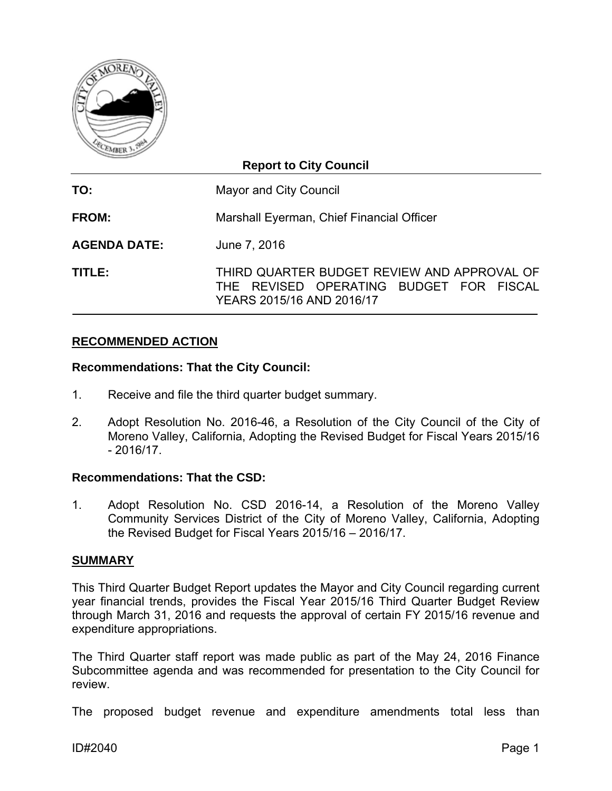

# **Report to City Council**

**TO:** Mayor and City Council **FROM:** Marshall Eyerman, Chief Financial Officer **AGENDA DATE:** June 7, 2016

**TITLE:** THIRD QUARTER BUDGET REVIEW AND APPROVAL OF THE REVISED OPERATING BUDGET FOR FISCAL YEARS 2015/16 AND 2016/17

# **RECOMMENDED ACTION**

## **Recommendations: That the City Council:**

- 1. Receive and file the third quarter budget summary.
- 2. Adopt Resolution No. 2016-46, a Resolution of the City Council of the City of Moreno Valley, California, Adopting the Revised Budget for Fiscal Years 2015/16  $-2016/17$

## **Recommendations: That the CSD:**

1. Adopt Resolution No. CSD 2016-14, a Resolution of the Moreno Valley Community Services District of the City of Moreno Valley, California, Adopting the Revised Budget for Fiscal Years 2015/16 – 2016/17.

#### **SUMMARY**

This Third Quarter Budget Report updates the Mayor and City Council regarding current year financial trends, provides the Fiscal Year 2015/16 Third Quarter Budget Review through March 31, 2016 and requests the approval of certain FY 2015/16 revenue and expenditure appropriations.

The Third Quarter staff report was made public as part of the May 24, 2016 Finance Subcommittee agenda and was recommended for presentation to the City Council for review.

The proposed budget revenue and expenditure amendments total less than

ID#2040 Page 1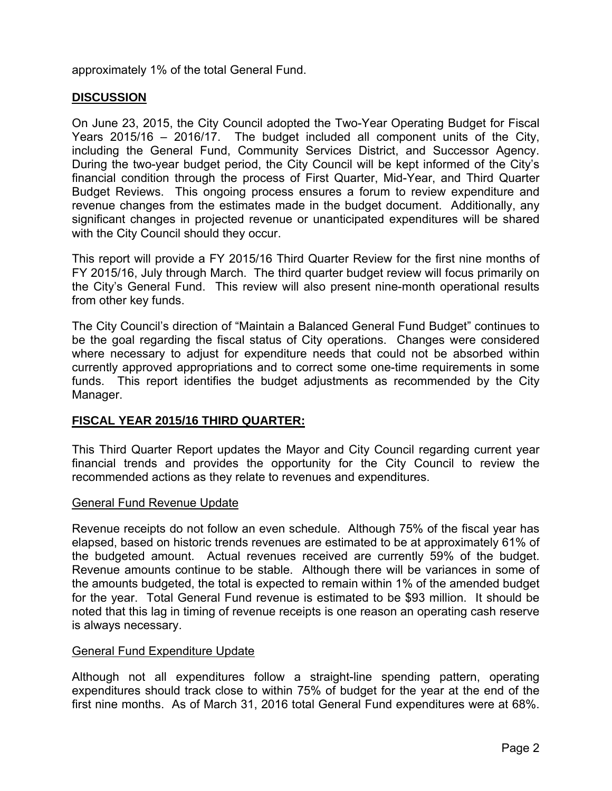approximately 1% of the total General Fund.

# **DISCUSSION**

On June 23, 2015, the City Council adopted the Two-Year Operating Budget for Fiscal Years 2015/16 – 2016/17. The budget included all component units of the City, including the General Fund, Community Services District, and Successor Agency. During the two-year budget period, the City Council will be kept informed of the City's financial condition through the process of First Quarter, Mid-Year, and Third Quarter Budget Reviews. This ongoing process ensures a forum to review expenditure and revenue changes from the estimates made in the budget document. Additionally, any significant changes in projected revenue or unanticipated expenditures will be shared with the City Council should they occur.

This report will provide a FY 2015/16 Third Quarter Review for the first nine months of FY 2015/16, July through March. The third quarter budget review will focus primarily on the City's General Fund. This review will also present nine-month operational results from other key funds.

The City Council's direction of "Maintain a Balanced General Fund Budget" continues to be the goal regarding the fiscal status of City operations. Changes were considered where necessary to adjust for expenditure needs that could not be absorbed within currently approved appropriations and to correct some one-time requirements in some funds. This report identifies the budget adjustments as recommended by the City Manager.

## **FISCAL YEAR 2015/16 THIRD QUARTER:**

This Third Quarter Report updates the Mayor and City Council regarding current year financial trends and provides the opportunity for the City Council to review the recommended actions as they relate to revenues and expenditures.

#### General Fund Revenue Update

Revenue receipts do not follow an even schedule. Although 75% of the fiscal year has elapsed, based on historic trends revenues are estimated to be at approximately 61% of the budgeted amount. Actual revenues received are currently 59% of the budget. Revenue amounts continue to be stable. Although there will be variances in some of the amounts budgeted, the total is expected to remain within 1% of the amended budget for the year. Total General Fund revenue is estimated to be \$93 million. It should be noted that this lag in timing of revenue receipts is one reason an operating cash reserve is always necessary.

#### General Fund Expenditure Update

Although not all expenditures follow a straight-line spending pattern, operating expenditures should track close to within 75% of budget for the year at the end of the first nine months. As of March 31, 2016 total General Fund expenditures were at 68%.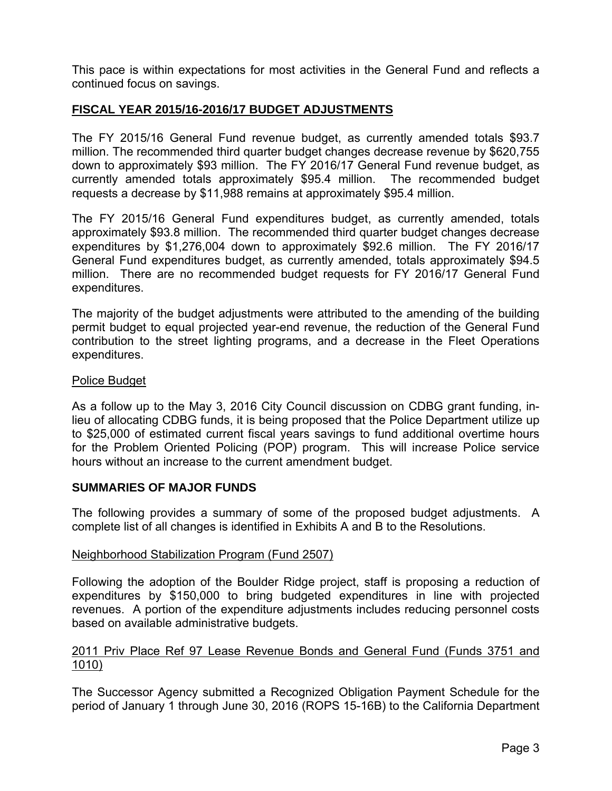This pace is within expectations for most activities in the General Fund and reflects a continued focus on savings.

# **FISCAL YEAR 2015/16-2016/17 BUDGET ADJUSTMENTS**

The FY 2015/16 General Fund revenue budget, as currently amended totals \$93.7 million. The recommended third quarter budget changes decrease revenue by \$620,755 down to approximately \$93 million. The FY 2016/17 General Fund revenue budget, as currently amended totals approximately \$95.4 million. The recommended budget requests a decrease by \$11,988 remains at approximately \$95.4 million.

The FY 2015/16 General Fund expenditures budget, as currently amended, totals approximately \$93.8 million. The recommended third quarter budget changes decrease expenditures by \$1,276,004 down to approximately \$92.6 million. The FY 2016/17 General Fund expenditures budget, as currently amended, totals approximately \$94.5 million. There are no recommended budget requests for FY 2016/17 General Fund expenditures.

The majority of the budget adjustments were attributed to the amending of the building permit budget to equal projected year-end revenue, the reduction of the General Fund contribution to the street lighting programs, and a decrease in the Fleet Operations expenditures.

#### Police Budget

As a follow up to the May 3, 2016 City Council discussion on CDBG grant funding, inlieu of allocating CDBG funds, it is being proposed that the Police Department utilize up to \$25,000 of estimated current fiscal years savings to fund additional overtime hours for the Problem Oriented Policing (POP) program. This will increase Police service hours without an increase to the current amendment budget.

#### **SUMMARIES OF MAJOR FUNDS**

The following provides a summary of some of the proposed budget adjustments. A complete list of all changes is identified in Exhibits A and B to the Resolutions.

#### Neighborhood Stabilization Program (Fund 2507)

Following the adoption of the Boulder Ridge project, staff is proposing a reduction of expenditures by \$150,000 to bring budgeted expenditures in line with projected revenues. A portion of the expenditure adjustments includes reducing personnel costs based on available administrative budgets.

## 2011 Priv Place Ref 97 Lease Revenue Bonds and General Fund (Funds 3751 and 1010)

The Successor Agency submitted a Recognized Obligation Payment Schedule for the period of January 1 through June 30, 2016 (ROPS 15-16B) to the California Department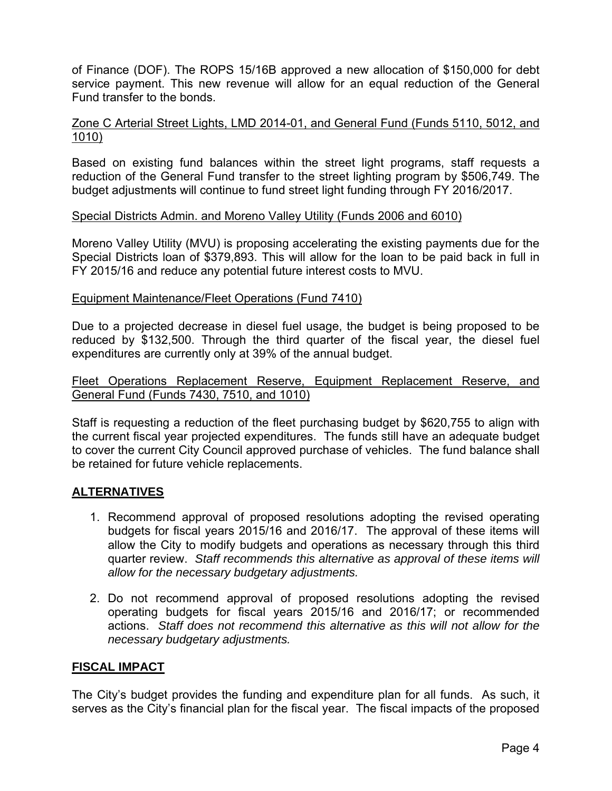of Finance (DOF). The ROPS 15/16B approved a new allocation of \$150,000 for debt service payment. This new revenue will allow for an equal reduction of the General Fund transfer to the bonds.

#### Zone C Arterial Street Lights, LMD 2014-01, and General Fund (Funds 5110, 5012, and 1010)

Based on existing fund balances within the street light programs, staff requests a reduction of the General Fund transfer to the street lighting program by \$506,749. The budget adjustments will continue to fund street light funding through FY 2016/2017.

#### Special Districts Admin. and Moreno Valley Utility (Funds 2006 and 6010)

Moreno Valley Utility (MVU) is proposing accelerating the existing payments due for the Special Districts loan of \$379,893. This will allow for the loan to be paid back in full in FY 2015/16 and reduce any potential future interest costs to MVU.

#### Equipment Maintenance/Fleet Operations (Fund 7410)

Due to a projected decrease in diesel fuel usage, the budget is being proposed to be reduced by \$132,500. Through the third quarter of the fiscal year, the diesel fuel expenditures are currently only at 39% of the annual budget.

## Fleet Operations Replacement Reserve, Equipment Replacement Reserve, and General Fund (Funds 7430, 7510, and 1010)

Staff is requesting a reduction of the fleet purchasing budget by \$620,755 to align with the current fiscal year projected expenditures. The funds still have an adequate budget to cover the current City Council approved purchase of vehicles. The fund balance shall be retained for future vehicle replacements.

## **ALTERNATIVES**

- 1. Recommend approval of proposed resolutions adopting the revised operating budgets for fiscal years 2015/16 and 2016/17. The approval of these items will allow the City to modify budgets and operations as necessary through this third quarter review. *Staff recommends this alternative as approval of these items will allow for the necessary budgetary adjustments.*
- 2. Do not recommend approval of proposed resolutions adopting the revised operating budgets for fiscal years 2015/16 and 2016/17; or recommended actions. *Staff does not recommend this alternative as this will not allow for the necessary budgetary adjustments.*

## **FISCAL IMPACT**

The City's budget provides the funding and expenditure plan for all funds. As such, it serves as the City's financial plan for the fiscal year. The fiscal impacts of the proposed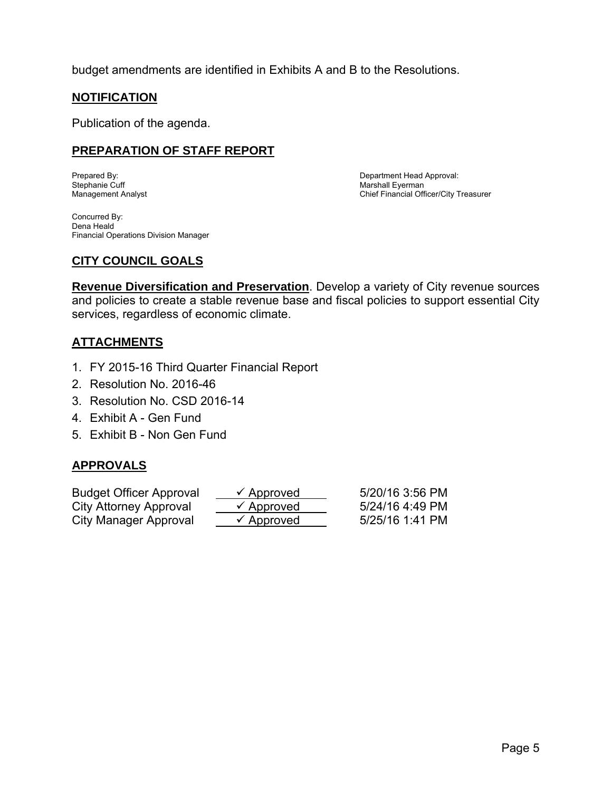budget amendments are identified in Exhibits A and B to the Resolutions.

# **NOTIFICATION**

Publication of the agenda.

# **PREPARATION OF STAFF REPORT**

Stephanie Cuff Marshall Eyerman

Prepared By: Department Head Approval: Chief Financial Officer/City Treasurer

Concurred By: Dena Heald Financial Operations Division Manager

# **CITY COUNCIL GOALS**

**Revenue Diversification and Preservation**. Develop a variety of City revenue sources and policies to create a stable revenue base and fiscal policies to support essential City services, regardless of economic climate.

# **ATTACHMENTS**

- 1. FY 2015-16 Third Quarter Financial Report
- 2. Resolution No. 2016-46
- 3. Resolution No. CSD 2016-14
- 4. Exhibit A Gen Fund
- 5. Exhibit B Non Gen Fund

# **APPROVALS**

| <b>Budget Officer Approval</b> | $\checkmark$ Approved | 5/20/16 3:56 PM |
|--------------------------------|-----------------------|-----------------|
| City Attorney Approval         | $\checkmark$ Approved | 5/24/16 4:49 PM |
| City Manager Approval          | $\checkmark$ Approved | 5/25/16 1:41 PM |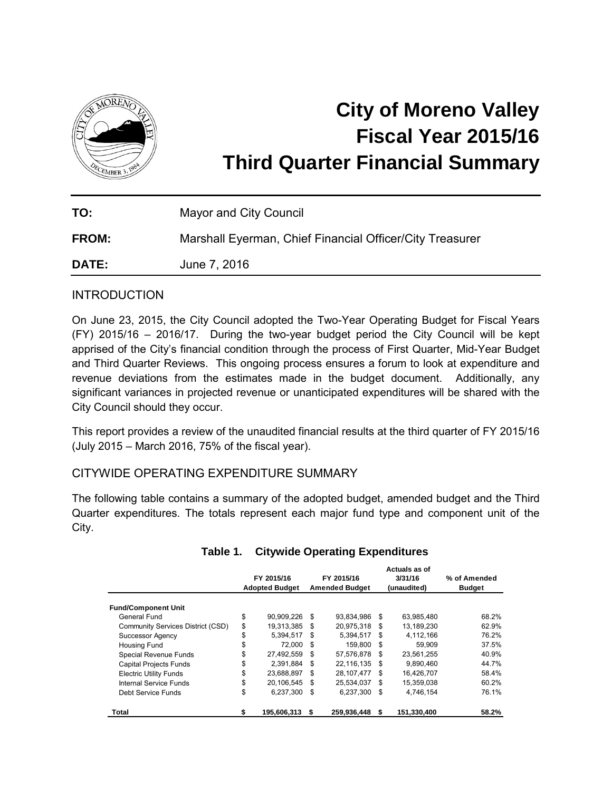

# **City of Moreno Valley Fiscal Year 2015/16 Third Quarter Financial Summary**

| TO:          | Mayor and City Council                                   |
|--------------|----------------------------------------------------------|
| <b>FROM:</b> | Marshall Eyerman, Chief Financial Officer/City Treasurer |
| <b>DATE:</b> | June 7, 2016                                             |

## **INTRODUCTION**

On June 23, 2015, the City Council adopted the Two-Year Operating Budget for Fiscal Years (FY) 2015/16 – 2016/17. During the two-year budget period the City Council will be kept apprised of the City's financial condition through the process of First Quarter, Mid-Year Budget and Third Quarter Reviews. This ongoing process ensures a forum to look at expenditure and revenue deviations from the estimates made in the budget document. Additionally, any significant variances in projected revenue or unanticipated expenditures will be shared with the City Council should they occur.

This report provides a review of the unaudited financial results at the third quarter of FY 2015/16 (July 2015 – March 2016, 75% of the fiscal year).

## CITYWIDE OPERATING EXPENDITURE SUMMARY

The following table contains a summary of the adopted budget, amended budget and the Third Quarter expenditures. The totals represent each major fund type and component unit of the City.

|                                   |    | FY 2015/16<br><b>Adopted Budget</b> |     | FY 2015/16<br><b>Amended Budget</b> |     | Actuals as of<br>3/31/16<br>(unaudited) | % of Amended<br><b>Budget</b> |
|-----------------------------------|----|-------------------------------------|-----|-------------------------------------|-----|-----------------------------------------|-------------------------------|
| <b>Fund/Component Unit</b>        |    |                                     |     |                                     |     |                                         |                               |
| General Fund                      | \$ | 90.909.226                          | \$  | 93.834.986                          | \$. | 63,985,480                              | 68.2%                         |
| Community Services District (CSD) | \$ | 19.313.385                          | \$. | 20,975,318                          | \$. | 13.189.230                              | 62.9%                         |
| <b>Successor Agency</b>           | \$ | 5.394.517                           | S   | 5.394.517                           | \$  | 4,112,166                               | 76.2%                         |
| <b>Housing Fund</b>               | \$ | 72.000                              | \$. | 159.800                             | \$. | 59.909                                  | 37.5%                         |
| Special Revenue Funds             | \$ | 27.492.559                          | S   | 57.576.878                          | \$. | 23,561,255                              | 40.9%                         |
| <b>Capital Projects Funds</b>     | \$ | 2.391.884                           | \$. | 22.116.135                          | \$. | 9.890.460                               | 44.7%                         |
| <b>Electric Utility Funds</b>     | \$ | 23,688,897                          | \$. | 28,107,477                          | \$. | 16,426,707                              | 58.4%                         |
| Internal Service Funds            | \$ | 20.106.545                          | \$  | 25,534,037                          | \$  | 15,359,038                              | 60.2%                         |
| Debt Service Funds                | \$ | 6,237,300                           | \$  | 6.237.300                           | \$  | 4.746.154                               | 76.1%                         |
| Total                             | S  | 195,606,313                         | S   | 259,936,448                         | S   | 151,330,400                             | 58.2%                         |

## **Table 1. Citywide Operating Expenditures**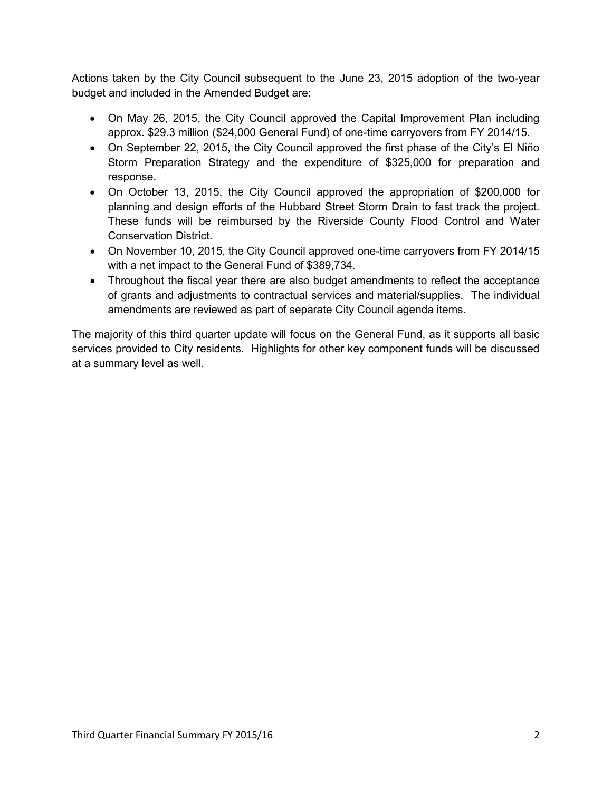Actions taken by the City Council subsequent to the June 23, 2015 adoption of the two-year budget and included in the Amended Budget are:

- On May 26, 2015, the City Council approved the Capital Improvement Plan including approx. \$29.3 million (\$24,000 General Fund) of one-time carryovers from FY 2014/15.
- On September 22, 2015, the City Council approved the first phase of the City's El Niño Storm Preparation Strategy and the expenditure of \$325,000 for preparation and response.
- On October 13, 2015, the City Council approved the appropriation of \$200,000 for planning and design efforts of the Hubbard Street Storm Drain to fast track the project. These funds will be reimbursed by the Riverside County Flood Control and Water Conservation District.
- On November 10, 2015, the City Council approved one-time carryovers from FY 2014/15 with a net impact to the General Fund of \$389,734.
- Throughout the fiscal year there are also budget amendments to reflect the acceptance of grants and adjustments to contractual services and material/supplies. The individual amendments are reviewed as part of separate City Council agenda items.

The majority of this third quarter update will focus on the General Fund, as it supports all basic services provided to City residents. Highlights for other key component funds will be discussed at a summary level as well.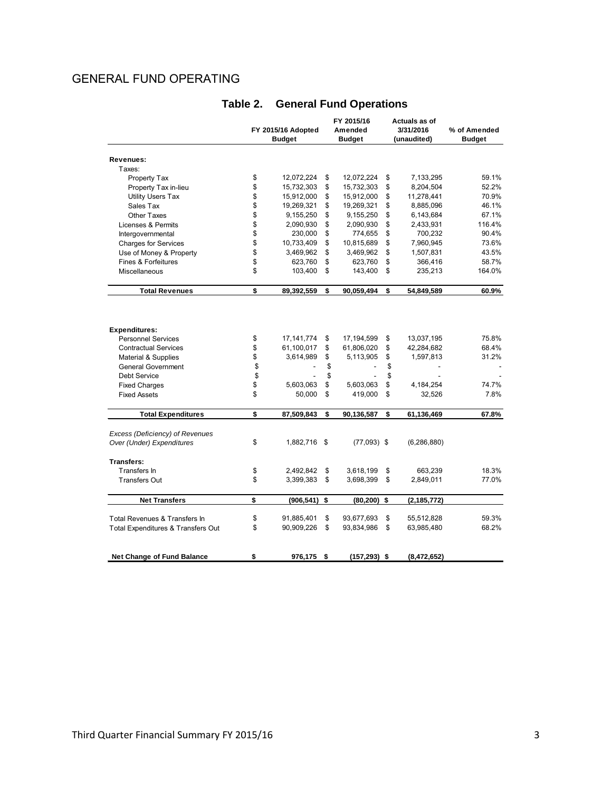# GENERAL FUND OPERATING

|                                    |    |                    |      | FY 2015/16      | Actuals as of       |               |
|------------------------------------|----|--------------------|------|-----------------|---------------------|---------------|
|                                    |    | FY 2015/16 Adopted |      | Amended         | 3/31/2016           | % of Amended  |
|                                    |    | <b>Budget</b>      |      | <b>Budget</b>   | (unaudited)         | <b>Budget</b> |
|                                    |    |                    |      |                 |                     |               |
| Revenues:                          |    |                    |      |                 |                     |               |
| Taxes:                             |    |                    |      |                 |                     |               |
| Property Tax                       | \$ | 12,072,224         | \$   | 12,072,224      | \$<br>7,133,295     | 59.1%         |
| Property Tax in-lieu               | \$ | 15,732,303         | \$   | 15,732,303      | \$<br>8,204,504     | 52.2%         |
| <b>Utility Users Tax</b>           | \$ | 15,912,000         | \$   | 15,912,000      | \$<br>11,278,441    | 70.9%         |
| Sales Tax                          | \$ | 19,269,321         | \$   | 19,269,321      | \$<br>8,885,096     | 46.1%         |
| <b>Other Taxes</b>                 | \$ | 9,155,250          | \$   | 9,155,250       | \$<br>6,143,684     | 67.1%         |
| Licenses & Permits                 | \$ | 2,090,930          | \$   | 2,090,930       | \$<br>2,433,931     | 116.4%        |
| Intergovernmental                  | \$ | 230,000            | \$   | 774,655         | \$<br>700,232       | 90.4%         |
| <b>Charges for Services</b>        | \$ | 10,733,409         | \$   | 10,815,689      | \$<br>7,960,945     | 73.6%         |
| Use of Money & Property            | \$ | 3,469,962          | \$   | 3,469,962       | \$<br>1,507,831     | 43.5%         |
| Fines & Forfeitures                | \$ | 623,760            | \$   | 623,760         | \$<br>366,416       | 58.7%         |
| Miscellaneous                      | \$ | 103,400            | \$   | 143,400         | \$<br>235,213       | 164.0%        |
| <b>Total Revenues</b>              | \$ | 89,392,559         | \$   | 90,059,494      | \$<br>54,849,589    | 60.9%         |
|                                    |    |                    |      |                 |                     |               |
| <b>Expenditures:</b>               |    |                    |      |                 |                     |               |
| <b>Personnel Services</b>          | \$ | 17, 141, 774       | \$   | 17,194,599      | \$<br>13,037,195    | 75.8%         |
| <b>Contractual Services</b>        | \$ | 61,100,017         | \$   | 61,806,020      | \$<br>42,284,682    | 68.4%         |
| Material & Supplies                | \$ | 3,614,989          | \$   | 5,113,905       | \$<br>1,597,813     | 31.2%         |
| <b>General Government</b>          | \$ |                    | \$   |                 | \$                  |               |
| <b>Debt Service</b>                | \$ |                    | \$   |                 | \$                  |               |
| <b>Fixed Charges</b>               | \$ | 5,603,063          | \$   | 5,603,063       | \$<br>4,184,254     | 74.7%         |
| <b>Fixed Assets</b>                | \$ | 50,000             | \$   | 419,000         | \$<br>32,526        | 7.8%          |
| <b>Total Expenditures</b>          | \$ | 87,509,843         | \$   | 90,136,587      | \$<br>61,136,469    | 67.8%         |
| Excess (Deficiency) of Revenues    |    |                    |      |                 |                     |               |
| Over (Under) Expenditures          | \$ | 1,882,716 \$       |      | $(77,093)$ \$   | (6, 286, 880)       |               |
| <b>Transfers:</b>                  |    |                    |      |                 |                     |               |
| Transfers In                       | \$ | 2,492,842          | \$   | 3,618,199       | \$<br>663,239       | 18.3%         |
| <b>Transfers Out</b>               | \$ | 3,399,383          | \$   | 3,698,399       | \$<br>2,849,011     | 77.0%         |
| <b>Net Transfers</b>               | \$ | (906, 541)         | \$   | (80, 200)       | \$<br>(2, 185, 772) |               |
| Total Revenues & Transfers In      | \$ | 91,885,401         | \$   | 93,677,693      | \$<br>55,512,828    | 59.3%         |
| Total Expenditures & Transfers Out | \$ | 90,909,226         | \$   | 93,834,986      | \$<br>63,985,480    | 68.2%         |
|                                    |    |                    |      |                 |                     |               |
| <b>Net Change of Fund Balance</b>  | \$ | 976,175            | - \$ | $(157, 293)$ \$ | (8,472,652)         |               |

# **Table 2. General Fund Operations**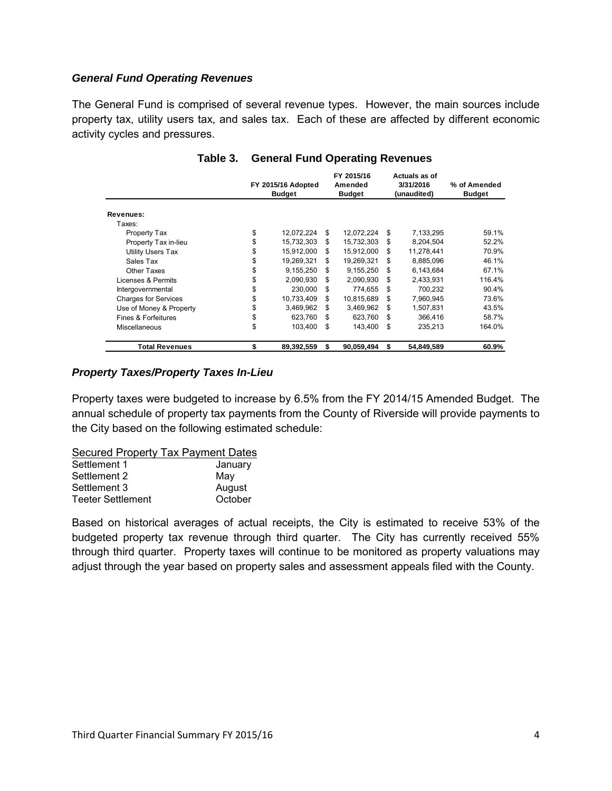#### *General Fund Operating Revenues*

The General Fund is comprised of several revenue types. However, the main sources include property tax, utility users tax, and sales tax. Each of these are affected by different economic activity cycles and pressures.

|                             | FY 2015/16 Adopted<br><b>Budget</b> | FY 2015/16<br>Amended<br><b>Budget</b> | Actuals as of<br>3/31/2016<br>(unaudited) | % of Amended<br><b>Budget</b> |  |
|-----------------------------|-------------------------------------|----------------------------------------|-------------------------------------------|-------------------------------|--|
| Revenues:                   |                                     |                                        |                                           |                               |  |
| Taxes:                      |                                     |                                        |                                           |                               |  |
| Property Tax                | \$<br>12,072,224                    | \$<br>12,072,224                       | \$<br>7,133,295                           | 59.1%                         |  |
| Property Tax in-lieu        | \$<br>15,732,303                    | \$<br>15,732,303                       | \$<br>8,204,504                           | 52.2%                         |  |
| Utility Users Tax           | \$<br>15,912,000                    | \$<br>15.912.000                       | \$<br>11,278,441                          | 70.9%                         |  |
| Sales Tax                   | \$<br>19,269,321                    | \$<br>19,269,321                       | \$<br>8,885,096                           | 46.1%                         |  |
| Other Taxes                 | \$<br>9,155,250                     | \$<br>9.155.250                        | \$<br>6.143.684                           | 67.1%                         |  |
| Licenses & Permits          | \$<br>2,090,930                     | \$<br>2,090,930                        | \$<br>2,433,931                           | 116.4%                        |  |
| Intergovernmental           | \$<br>230,000                       | \$<br>774.655                          | \$<br>700.232                             | 90.4%                         |  |
| <b>Charges for Services</b> | \$<br>10,733,409                    | \$<br>10,815,689                       | \$<br>7,960,945                           | 73.6%                         |  |
| Use of Money & Property     | \$<br>3,469,962                     | \$<br>3,469,962                        | \$<br>1,507,831                           | 43.5%                         |  |
| Fines & Forfeitures         | \$<br>623,760                       | \$<br>623,760                          | \$<br>366,416                             | 58.7%                         |  |
| <b>Miscellaneous</b>        | \$<br>103,400                       | \$<br>143.400                          | \$<br>235,213                             | 164.0%                        |  |
| <b>Total Revenues</b>       | \$<br>89,392,559                    | \$<br>90,059,494                       | \$<br>54,849,589                          | 60.9%                         |  |

#### **Table 3. General Fund Operating Revenues**

#### *Property Taxes/Property Taxes In-Lieu*

Property taxes were budgeted to increase by 6.5% from the FY 2014/15 Amended Budget. The annual schedule of property tax payments from the County of Riverside will provide payments to the City based on the following estimated schedule:

#### Secured Property Tax Payment Dates

| Settlement 1             | January |
|--------------------------|---------|
| Settlement 2             | Mav     |
| Settlement 3             | August  |
| <b>Teeter Settlement</b> | October |

Based on historical averages of actual receipts, the City is estimated to receive 53% of the budgeted property tax revenue through third quarter. The City has currently received 55% through third quarter. Property taxes will continue to be monitored as property valuations may adjust through the year based on property sales and assessment appeals filed with the County.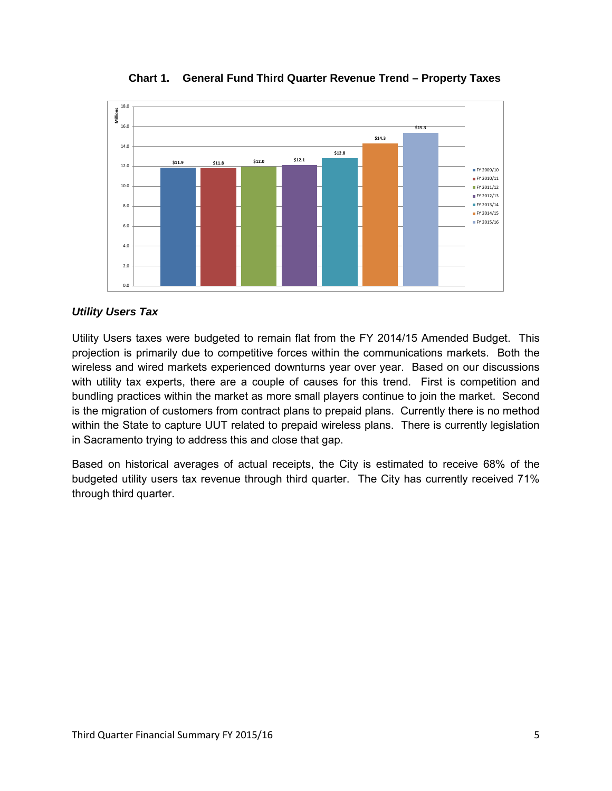

**Chart 1. General Fund Third Quarter Revenue Trend – Property Taxes**

#### *Utility Users Tax*

Utility Users taxes were budgeted to remain flat from the FY 2014/15 Amended Budget. This projection is primarily due to competitive forces within the communications markets. Both the wireless and wired markets experienced downturns year over year. Based on our discussions with utility tax experts, there are a couple of causes for this trend. First is competition and bundling practices within the market as more small players continue to join the market. Second is the migration of customers from contract plans to prepaid plans. Currently there is no method within the State to capture UUT related to prepaid wireless plans. There is currently legislation in Sacramento trying to address this and close that gap.

Based on historical averages of actual receipts, the City is estimated to receive 68% of the budgeted utility users tax revenue through third quarter. The City has currently received 71% through third quarter.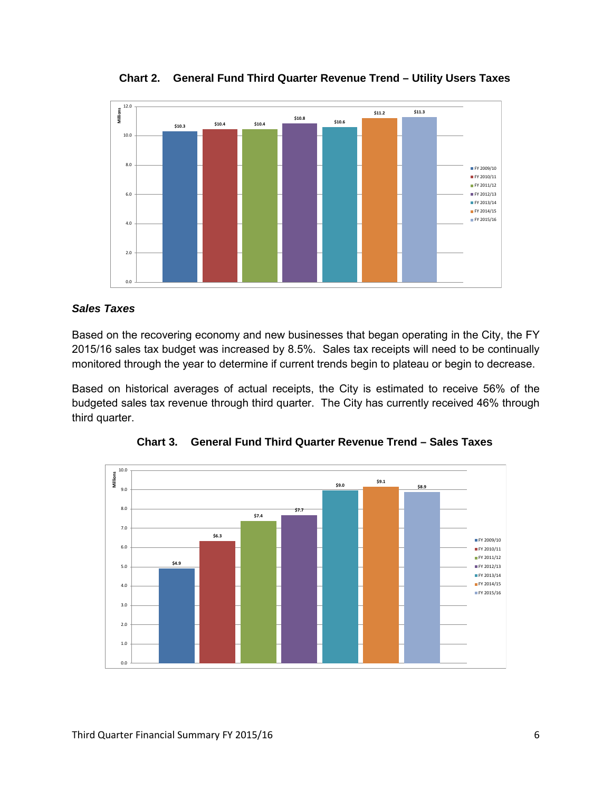**\$10.3 \$10.4 \$10.4 \$10.8 \$10.6 \$11.2 \$11.3** 0.0 2.0 4.0 6.0 8.0 10.0 12.0 **Millions** FY 2009/10 **FY 2010/11** FY 2011/12 **FY 2012/13** FY 2013/14 FY 2014/15 FY 2015/16

**Chart 2. General Fund Third Quarter Revenue Trend – Utility Users Taxes**

#### *Sales Taxes*

Based on the recovering economy and new businesses that began operating in the City, the FY 2015/16 sales tax budget was increased by 8.5%. Sales tax receipts will need to be continually monitored through the year to determine if current trends begin to plateau or begin to decrease.

Based on historical averages of actual receipts, the City is estimated to receive 56% of the budgeted sales tax revenue through third quarter. The City has currently received 46% through third quarter.



**Chart 3. General Fund Third Quarter Revenue Trend – Sales Taxes**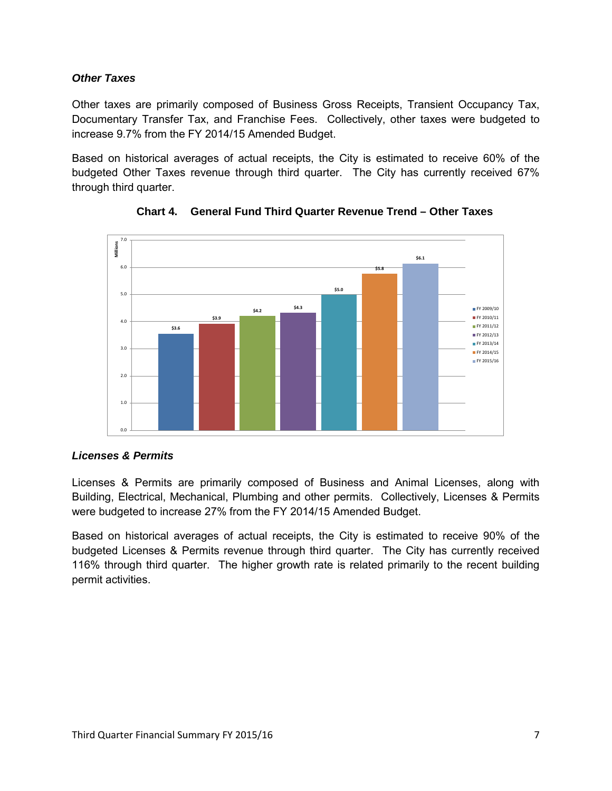#### *Other Taxes*

Other taxes are primarily composed of Business Gross Receipts, Transient Occupancy Tax, Documentary Transfer Tax, and Franchise Fees. Collectively, other taxes were budgeted to increase 9.7% from the FY 2014/15 Amended Budget.

Based on historical averages of actual receipts, the City is estimated to receive 60% of the budgeted Other Taxes revenue through third quarter. The City has currently received 67% through third quarter.



**Chart 4. General Fund Third Quarter Revenue Trend – Other Taxes**

## *Licenses & Permits*

Licenses & Permits are primarily composed of Business and Animal Licenses, along with Building, Electrical, Mechanical, Plumbing and other permits. Collectively, Licenses & Permits were budgeted to increase 27% from the FY 2014/15 Amended Budget.

Based on historical averages of actual receipts, the City is estimated to receive 90% of the budgeted Licenses & Permits revenue through third quarter. The City has currently received 116% through third quarter. The higher growth rate is related primarily to the recent building permit activities.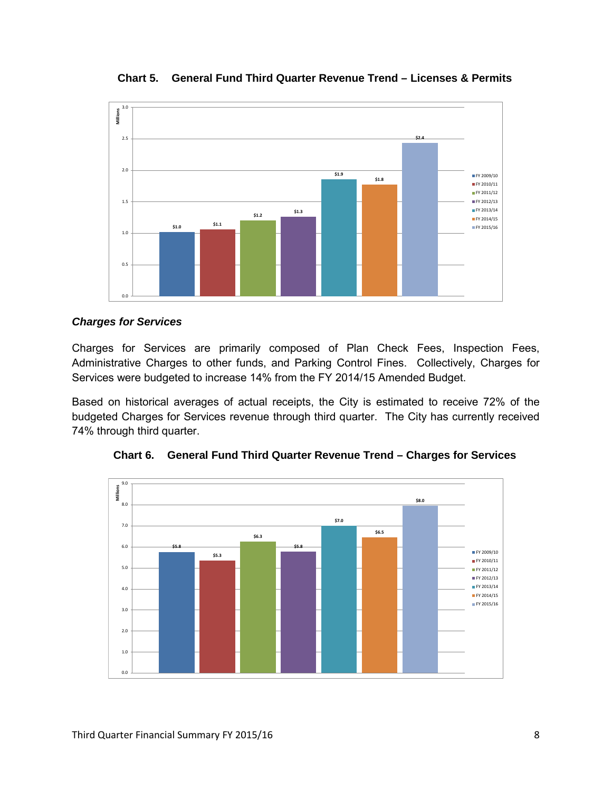

**Chart 5. General Fund Third Quarter Revenue Trend – Licenses & Permits**

#### *Charges for Services*

Charges for Services are primarily composed of Plan Check Fees, Inspection Fees, Administrative Charges to other funds, and Parking Control Fines. Collectively, Charges for Services were budgeted to increase 14% from the FY 2014/15 Amended Budget.

Based on historical averages of actual receipts, the City is estimated to receive 72% of the budgeted Charges for Services revenue through third quarter. The City has currently received 74% through third quarter.



**Chart 6. General Fund Third Quarter Revenue Trend – Charges for Services**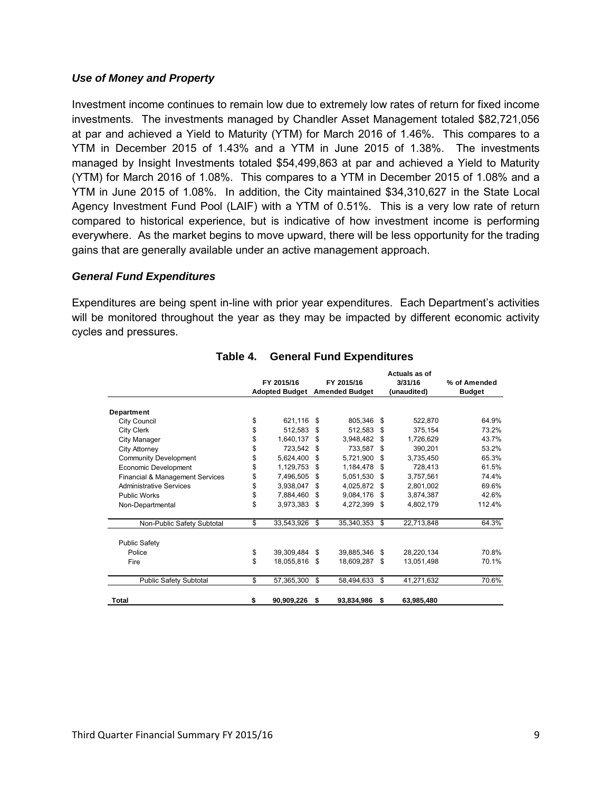#### *Use of Money and Property*

Investment income continues to remain low due to extremely low rates of return for fixed income investments. The investments managed by Chandler Asset Management totaled \$82,721,056 at par and achieved a Yield to Maturity (YTM) for March 2016 of 1.46%. This compares to a YTM in December 2015 of 1.43% and a YTM in June 2015 of 1.38%. The investments managed by Insight Investments totaled \$54,499,863 at par and achieved a Yield to Maturity (YTM) for March 2016 of 1.08%. This compares to a YTM in December 2015 of 1.08% and a YTM in June 2015 of 1.08%. In addition, the City maintained \$34,310,627 in the State Local Agency Investment Fund Pool (LAIF) with a YTM of 0.51%. This is a very low rate of return compared to historical experience, but is indicative of how investment income is performing everywhere. As the market begins to move upward, there will be less opportunity for the trading gains that are generally available under an active management approach.

#### *General Fund Expenditures*

Expenditures are being spent in-line with prior year expenditures. Each Department's activities will be monitored throughout the year as they may be impacted by different economic activity cycles and pressures.

|                                 |                       |            |      |                       |     | Actuals as of |               |  |
|---------------------------------|-----------------------|------------|------|-----------------------|-----|---------------|---------------|--|
|                                 |                       | FY 2015/16 |      | FY 2015/16            |     | 3/31/16       | % of Amended  |  |
|                                 | <b>Adopted Budget</b> |            |      | <b>Amended Budget</b> |     | (unaudited)   | <b>Budget</b> |  |
| Department                      |                       |            |      |                       |     |               |               |  |
| <b>City Council</b>             | \$                    | 621,116    | \$   | 805,346               | \$  | 522,870       | 64.9%         |  |
| <b>City Clerk</b>               | \$                    | 512.583    | \$   | 512.583               | \$  | 375,154       | 73.2%         |  |
| City Manager                    | \$                    | 1,640,137  | \$   | 3,948,482             | \$  | 1,726,629     | 43.7%         |  |
| City Attorney                   | \$                    | 723,542    | \$   | 733.587               | \$  | 390,201       | 53.2%         |  |
| <b>Community Development</b>    | \$                    | 5,624,400  | \$   | 5,721,900             | \$  | 3,735,450     | 65.3%         |  |
| Economic Development            | \$                    | 1,129,753  | \$   | 1,184,478             | \$  | 728,413       | 61.5%         |  |
| Financial & Management Services | \$                    | 7,496,505  | \$   | 5,051,530             | \$  | 3,757,561     | 74.4%         |  |
| <b>Administrative Services</b>  | \$                    | 3,938,047  | \$   | 4,025,872             | \$  | 2,801,002     | 69.6%         |  |
| <b>Public Works</b>             | \$                    | 7,884,460  | Ŝ.   | 9,084,176             | -\$ | 3,874,387     | 42.6%         |  |
| Non-Departmental                | \$                    | 3,973,383  | -\$  | 4,272,399             | \$  | 4,802,179     | 112.4%        |  |
| Non-Public Safety Subtotal      | \$                    | 33,543,926 | \$   | 35.340.353            | \$  | 22,713,848    | 64.3%         |  |
| <b>Public Safety</b>            |                       |            |      |                       |     |               |               |  |
| Police                          | \$                    | 39,309,484 | \$   | 39,885,346            | \$  | 28,220,134    | 70.8%         |  |
| Fire                            | \$                    | 18,055,816 | - \$ | 18,609,287            | -\$ | 13,051,498    | 70.1%         |  |
| <b>Public Safety Subtotal</b>   | \$                    | 57,365,300 | \$   | 58,494,633            | \$  | 41,271,632    | 70.6%         |  |
| Total                           | \$                    | 90,909,226 | -\$  | 93,834,986            | \$  | 63,985,480    |               |  |

#### **Table 4. General Fund Expenditures**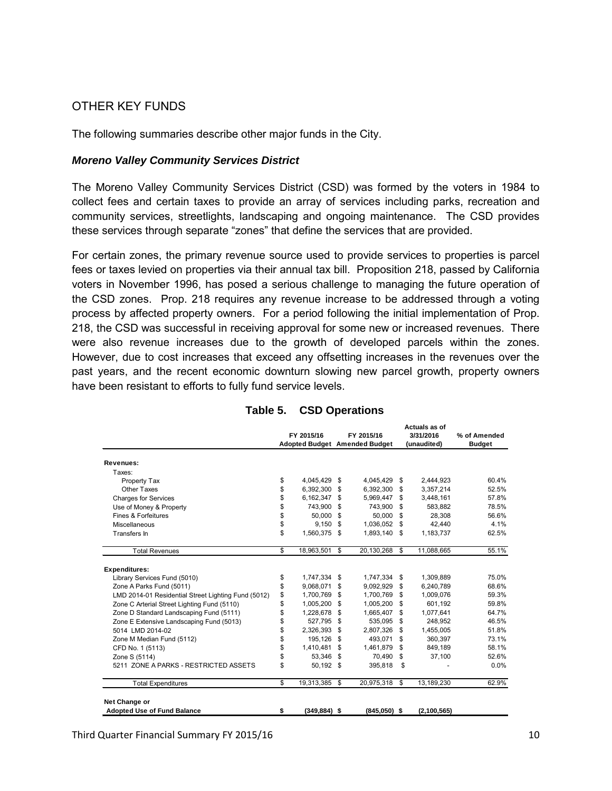# OTHER KEY FUNDS

The following summaries describe other major funds in the City.

#### *Moreno Valley Community Services District*

The Moreno Valley Community Services District (CSD) was formed by the voters in 1984 to collect fees and certain taxes to provide an array of services including parks, recreation and community services, streetlights, landscaping and ongoing maintenance. The CSD provides these services through separate "zones" that define the services that are provided.

For certain zones, the primary revenue source used to provide services to properties is parcel fees or taxes levied on properties via their annual tax bill. Proposition 218, passed by California voters in November 1996, has posed a serious challenge to managing the future operation of the CSD zones. Prop. 218 requires any revenue increase to be addressed through a voting process by affected property owners. For a period following the initial implementation of Prop. 218, the CSD was successful in receiving approval for some new or increased revenues. There were also revenue increases due to the growth of developed parcels within the zones. However, due to cost increases that exceed any offsetting increases in the revenues over the past years, and the recent economic downturn slowing new parcel growth, property owners have been resistant to efforts to fully fund service levels.

|                                                     | FY 2015/16            | FY 2015/16 |                               | Actuals as of<br>3/31/2016 |             | % of Amended  |  |
|-----------------------------------------------------|-----------------------|------------|-------------------------------|----------------------------|-------------|---------------|--|
|                                                     |                       |            | Adopted Budget Amended Budget |                            | (unaudited) | <b>Budget</b> |  |
| Revenues:                                           |                       |            |                               |                            |             |               |  |
| Taxes:                                              |                       |            |                               |                            |             |               |  |
| Property Tax                                        | \$<br>4,045,429       | \$         | 4,045,429                     | \$                         | 2,444,923   | 60.4%         |  |
| Other Taxes                                         | \$<br>6,392,300       | \$         | 6,392,300                     | \$                         | 3,357,214   | 52.5%         |  |
| <b>Charges for Services</b>                         | \$<br>6,162,347       | \$         | 5,969,447                     | \$                         | 3,448,161   | 57.8%         |  |
| Use of Money & Property                             | \$<br>743.900         | \$         | 743,900                       | \$                         | 583,882     | 78.5%         |  |
| Fines & Forfeitures                                 | \$<br>50,000          | \$         | 50,000                        | \$                         | 28.308      | 56.6%         |  |
| Miscellaneous                                       | \$<br>9,150           | \$         | 1,036,052                     | \$                         | 42,440      | 4.1%          |  |
| Transfers In                                        | \$<br>1.560.375       | \$         | 1.893.140                     | \$                         | 1.183.737   | 62.5%         |  |
| <b>Total Revenues</b>                               | \$<br>18.963.501      | \$         | 20,130,268                    | \$                         | 11,088,665  | 55.1%         |  |
| <b>Expenditures:</b>                                |                       |            |                               |                            |             |               |  |
| Library Services Fund (5010)                        | \$<br>1,747,334 \$    |            | 1,747,334                     | \$                         | 1,309,889   | 75.0%         |  |
| Zone A Parks Fund (5011)                            | \$<br>9,068,071       | \$         | 9,092,929                     | \$                         | 6.240.789   | 68.6%         |  |
| LMD 2014-01 Residential Street Lighting Fund (5012) | \$<br>1,700,769       | \$         | 1,700,769                     | \$                         | 1,009,076   | 59.3%         |  |
| Zone C Arterial Street Lighting Fund (5110)         | \$<br>1,005,200       | \$         | 1,005,200                     | \$                         | 601.192     | 59.8%         |  |
| Zone D Standard Landscaping Fund (5111)             | \$<br>1,228,678       | \$         | 1,665,407                     | \$                         | 1,077,641   | 64.7%         |  |
| Zone E Extensive Landscaping Fund (5013)            | \$<br>527.795         | \$         | 535.095                       | \$                         | 248.952     | 46.5%         |  |
| 5014 LMD 2014-02                                    | \$<br>2,326,393       | \$         | 2,807,326                     | \$                         | 1,455,005   | 51.8%         |  |
| Zone M Median Fund (5112)                           | \$<br>195,126         | \$         | 493,071                       | \$                         | 360,397     | 73.1%         |  |
| CFD No. 1 (5113)                                    | \$<br>1,410,481       | \$         | 1.461.879                     | \$                         | 849,189     | 58.1%         |  |
| Zone S (5114)                                       | \$<br>53.346          | \$         | 70,490                        | \$                         | 37,100      | 52.6%         |  |
| 5211 ZONE A PARKS - RESTRICTED ASSETS               | \$<br>50.192          | \$         | 395.818                       | \$                         |             | 0.0%          |  |
| <b>Total Expenditures</b>                           | \$<br>19,313,385      | \$         | 20,975,318                    | \$                         | 13.189.230  | 62.9%         |  |
| Net Change or                                       |                       |            |                               |                            |             |               |  |
| <b>Adopted Use of Fund Balance</b>                  | \$<br>$(349, 884)$ \$ |            | $(845,050)$ \$                |                            | (2,100,565) |               |  |

#### **Table 5. CSD Operations**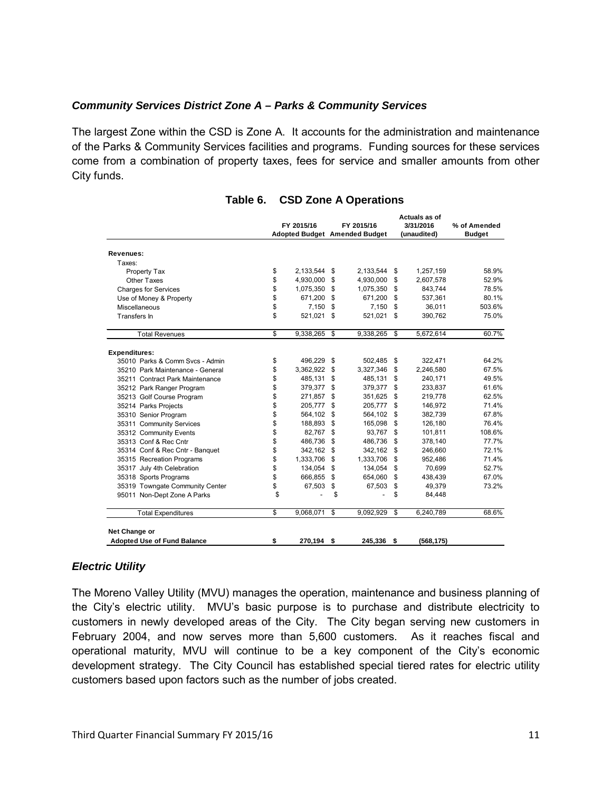#### *Community Services District Zone A – Parks & Community Services*

The largest Zone within the CSD is Zone A. It accounts for the administration and maintenance of the Parks & Community Services facilities and programs. Funding sources for these services come from a combination of property taxes, fees for service and smaller amounts from other City funds.

|                                    | FY 2015/16         | FY 2015/16<br><b>Adopted Budget Amended Budget</b> |           |    | Actuals as of<br>3/31/2016<br>(unaudited) | % of Amended<br><b>Budget</b> |
|------------------------------------|--------------------|----------------------------------------------------|-----------|----|-------------------------------------------|-------------------------------|
| Revenues:                          |                    |                                                    |           |    |                                           |                               |
| Taxes:                             |                    |                                                    |           |    |                                           |                               |
| Property Tax                       | \$<br>2,133,544 \$ |                                                    | 2,133,544 | \$ | 1,257,159                                 | 58.9%                         |
| Other Taxes                        | \$<br>4,930,000    | \$                                                 | 4,930,000 | \$ | 2,607,578                                 | 52.9%                         |
| <b>Charges for Services</b>        | \$<br>1,075,350 \$ |                                                    | 1,075,350 | \$ | 843,744                                   | 78.5%                         |
| Use of Money & Property            | \$<br>671,200      | \$                                                 | 671,200   | \$ | 537,361                                   | 80.1%                         |
| Miscellaneous                      | \$<br>7,150        | \$                                                 | 7,150     | \$ | 36,011                                    | 503.6%                        |
| Transfers In                       | \$<br>521,021      | \$                                                 | 521,021   | \$ | 390,762                                   | 75.0%                         |
| <b>Total Revenues</b>              | \$<br>9,338,265    | \$                                                 | 9,338,265 | \$ | 5,672,614                                 | 60.7%                         |
| <b>Expenditures:</b>               |                    |                                                    |           |    |                                           |                               |
| 35010 Parks & Comm Svcs - Admin    | \$<br>496,229 \$   |                                                    | 502,485   | \$ | 322,471                                   | 64.2%                         |
| 35210 Park Maintenance - General   | \$<br>3,362,922    | \$                                                 | 3,327,346 | \$ | 2,246,580                                 | 67.5%                         |
| 35211 Contract Park Maintenance    | \$<br>485,131      | \$                                                 | 485.131   | \$ | 240,171                                   | 49.5%                         |
| 35212 Park Ranger Program          | \$<br>379.377      | \$                                                 | 379.377   | \$ | 233.837                                   | 61.6%                         |
| 35213 Golf Course Program          | \$<br>271,857      | \$                                                 | 351,625   | \$ | 219,778                                   | 62.5%                         |
| 35214 Parks Projects               | \$<br>205.777      | \$                                                 | 205.777   | \$ | 146.972                                   | 71.4%                         |
| 35310 Senior Program               | \$<br>564.102      | \$                                                 | 564.102   | \$ | 382.739                                   | 67.8%                         |
| 35311 Community Services           | \$<br>188.893      | \$                                                 | 165.098   | \$ | 126,180                                   | 76.4%                         |
| 35312 Community Events             | \$<br>82.767       | \$                                                 | 93.767    | \$ | 101,811                                   | 108.6%                        |
| 35313 Conf & Rec Cntr              | \$<br>486.736      | \$.                                                | 486.736   | \$ | 378,140                                   | 77.7%                         |
| 35314 Conf & Rec Cntr - Banquet    | \$<br>342,162 \$   |                                                    | 342,162   | \$ | 246,660                                   | 72.1%                         |
| 35315 Recreation Programs          | \$<br>1,333,706    | \$                                                 | 1,333,706 | \$ | 952,486                                   | 71.4%                         |
| 35317 July 4th Celebration         | \$<br>134,054      | \$                                                 | 134,054   | \$ | 70,699                                    | 52.7%                         |
| 35318 Sports Programs              | \$<br>666,855      | \$                                                 | 654,060   | \$ | 438,439                                   | 67.0%                         |
| 35319 Towngate Community Center    | \$<br>67,503       | \$                                                 | 67,503    | \$ | 49.379                                    | 73.2%                         |
| 95011 Non-Dept Zone A Parks        | \$                 | \$                                                 |           | \$ | 84,448                                    |                               |
| <b>Total Expenditures</b>          | \$<br>9,068,071    | \$                                                 | 9,092,929 | \$ | 6.240.789                                 | 68.6%                         |
| Net Change or                      |                    |                                                    |           |    |                                           |                               |
| <b>Adopted Use of Fund Balance</b> | \$<br>270,194      | \$                                                 | 245,336   | \$ | (568, 175)                                |                               |

#### **Table 6. CSD Zone A Operations**

#### *Electric Utility*

The Moreno Valley Utility (MVU) manages the operation, maintenance and business planning of the City's electric utility. MVU's basic purpose is to purchase and distribute electricity to customers in newly developed areas of the City. The City began serving new customers in February 2004, and now serves more than 5,600 customers. As it reaches fiscal and operational maturity, MVU will continue to be a key component of the City's economic development strategy. The City Council has established special tiered rates for electric utility customers based upon factors such as the number of jobs created.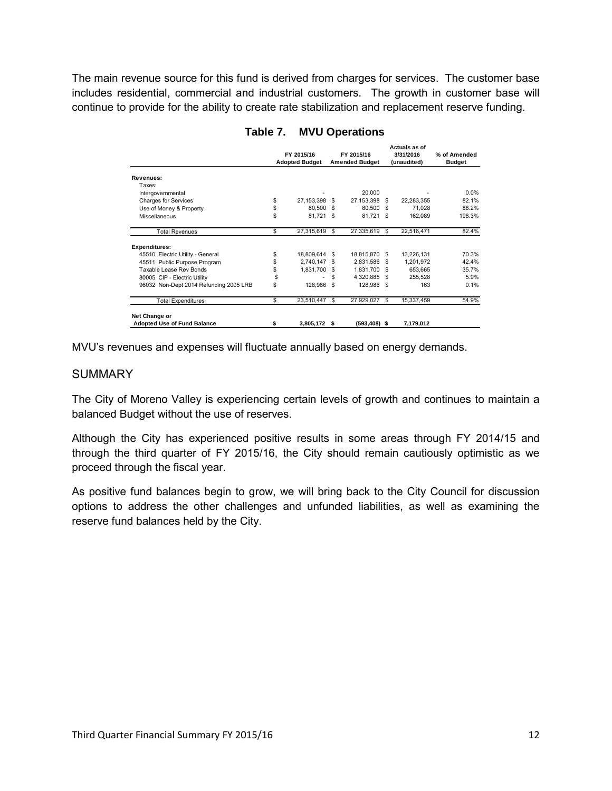The main revenue source for this fund is derived from charges for services. The customer base includes residential, commercial and industrial customers. The growth in customer base will continue to provide for the ability to create rate stabilization and replacement reserve funding.

|                                                     |                       |              |      |                       | Actuals as of |             |               |  |
|-----------------------------------------------------|-----------------------|--------------|------|-----------------------|---------------|-------------|---------------|--|
|                                                     |                       | FY 2015/16   |      | FY 2015/16            |               | 3/31/2016   | % of Amended  |  |
|                                                     | <b>Adopted Budget</b> |              |      | <b>Amended Budget</b> |               | (unaudited) | <b>Budget</b> |  |
| Revenues:                                           |                       |              |      |                       |               |             |               |  |
| Taxes:                                              |                       |              |      |                       |               |             |               |  |
| Intergovernmental                                   |                       |              |      | 20,000                |               |             | $0.0\%$       |  |
|                                                     | \$                    | 27, 153, 398 | \$.  | 27, 153, 398 \$       |               | 22,283,355  | 82.1%         |  |
| <b>Charges for Services</b>                         |                       |              |      |                       |               |             |               |  |
| Use of Money & Property                             | \$                    | 80.500       | \$   | 80,500 \$             |               | 71.028      | 88.2%         |  |
| Miscellaneous                                       | \$                    | 81,721       | - \$ | 81,721 \$             |               | 162,089     | 198.3%        |  |
| <b>Total Revenues</b>                               | \$                    | 27,315,619   | \$.  | 27,335,619            | \$.           | 22,516,471  | 82.4%         |  |
| <b>Expenditures:</b>                                |                       |              |      |                       |               |             |               |  |
| 45510 Electric Utility - General                    | \$                    | 18,809,614   | S.   | 18,815,870 \$         |               | 13,226,131  | 70.3%         |  |
| 45511 Public Purpose Program                        | \$                    | 2,740,147    | \$   | 2,831,586             | \$.           | 1,201,972   | 42.4%         |  |
| Taxable Lease Rev Bonds                             | \$                    | 1,831,700    | £.   | 1,831,700             | -\$           | 653,665     | 35.7%         |  |
| 80005 CIP - Electric Utility                        | \$                    |              | \$   | 4,320,885 \$          |               | 255.528     | 5.9%          |  |
| 96032 Non-Dept 2014 Refunding 2005 LRB              | \$                    | 128,986      | \$   | 128,986 \$            |               | 163         | 0.1%          |  |
| <b>Total Expenditures</b>                           | \$                    | 23,510,447   | \$.  | 27,929,027            | \$.           | 15,337,459  | 54.9%         |  |
|                                                     |                       |              |      |                       |               |             |               |  |
| Net Change or<br><b>Adopted Use of Fund Balance</b> | \$                    | 3,805,172    | S    | (593,408) \$          |               | 7,179,012   |               |  |

#### **Table 7. MVU Operations**

MVU's revenues and expenses will fluctuate annually based on energy demands.

#### **SUMMARY**

The City of Moreno Valley is experiencing certain levels of growth and continues to maintain a balanced Budget without the use of reserves.

Although the City has experienced positive results in some areas through FY 2014/15 and through the third quarter of FY 2015/16, the City should remain cautiously optimistic as we proceed through the fiscal year.

As positive fund balances begin to grow, we will bring back to the City Council for discussion options to address the other challenges and unfunded liabilities, as well as examining the reserve fund balances held by the City.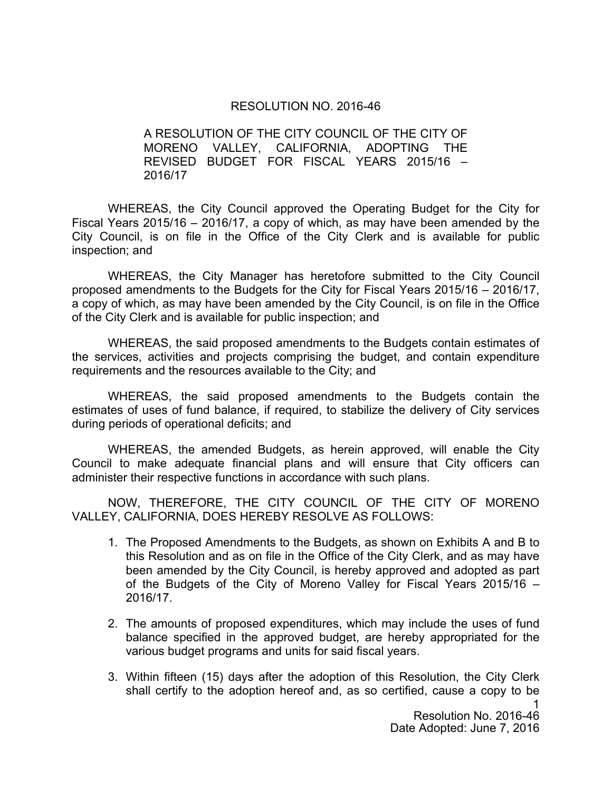#### RESOLUTION NO. 2016-46

A RESOLUTION OF THE CITY COUNCIL OF THE CITY OF MORENO VALLEY, CALIFORNIA, ADOPTING THE REVISED BUDGET FOR FISCAL YEARS 2015/16 – 2016/17

WHEREAS, the City Council approved the Operating Budget for the City for Fiscal Years 2015/16 – 2016/17, a copy of which, as may have been amended by the City Council, is on file in the Office of the City Clerk and is available for public inspection; and

WHEREAS, the City Manager has heretofore submitted to the City Council proposed amendments to the Budgets for the City for Fiscal Years 2015/16 – 2016/17, a copy of which, as may have been amended by the City Council, is on file in the Office of the City Clerk and is available for public inspection; and

WHEREAS, the said proposed amendments to the Budgets contain estimates of the services, activities and projects comprising the budget, and contain expenditure requirements and the resources available to the City; and

WHEREAS, the said proposed amendments to the Budgets contain the estimates of uses of fund balance, if required, to stabilize the delivery of City services during periods of operational deficits; and

WHEREAS, the amended Budgets, as herein approved, will enable the City Council to make adequate financial plans and will ensure that City officers can administer their respective functions in accordance with such plans.

NOW, THEREFORE, THE CITY COUNCIL OF THE CITY OF MORENO VALLEY, CALIFORNIA, DOES HEREBY RESOLVE AS FOLLOWS:

- 1. The Proposed Amendments to the Budgets, as shown on Exhibits A and B to this Resolution and as on file in the Office of the City Clerk, and as may have been amended by the City Council, is hereby approved and adopted as part of the Budgets of the City of Moreno Valley for Fiscal Years 2015/16 – 2016/17.
- 2. The amounts of proposed expenditures, which may include the uses of fund balance specified in the approved budget, are hereby appropriated for the various budget programs and units for said fiscal years.
- 3. Within fifteen (15) days after the adoption of this Resolution, the City Clerk shall certify to the adoption hereof and, as so certified, cause a copy to be

1 Resolution No. 2016-46 Date Adopted: June 7, 2016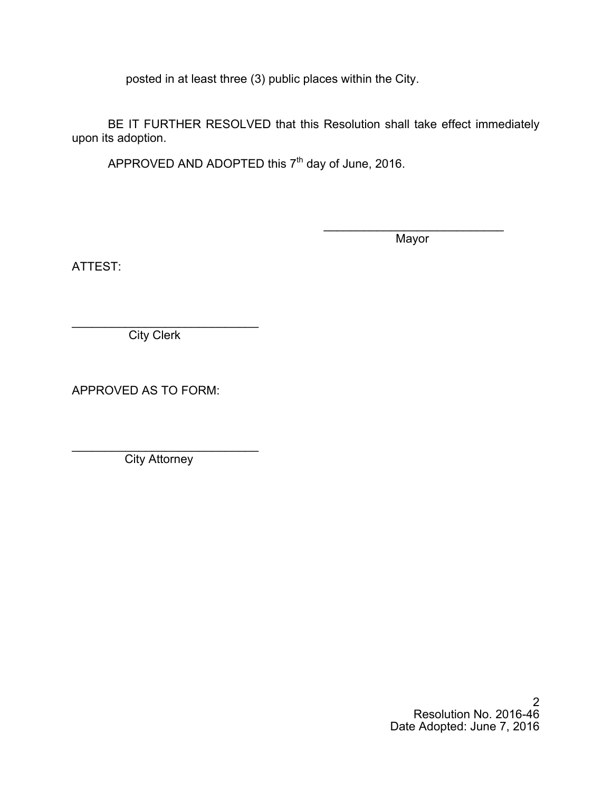posted in at least three (3) public places within the City.

BE IT FURTHER RESOLVED that this Resolution shall take effect immediately upon its adoption.

 $\overline{\phantom{a}}$ 

APPROVED AND ADOPTED this  $7<sup>th</sup>$  day of June, 2016.

**Mayor** 

ATTEST:

\_\_\_\_\_\_\_\_\_\_\_\_\_\_\_\_\_\_\_\_\_\_\_\_\_\_\_\_ City Clerk

APPROVED AS TO FORM:

\_\_\_\_\_\_\_\_\_\_\_\_\_\_\_\_\_\_\_\_\_\_\_\_\_\_\_\_ **City Attorney**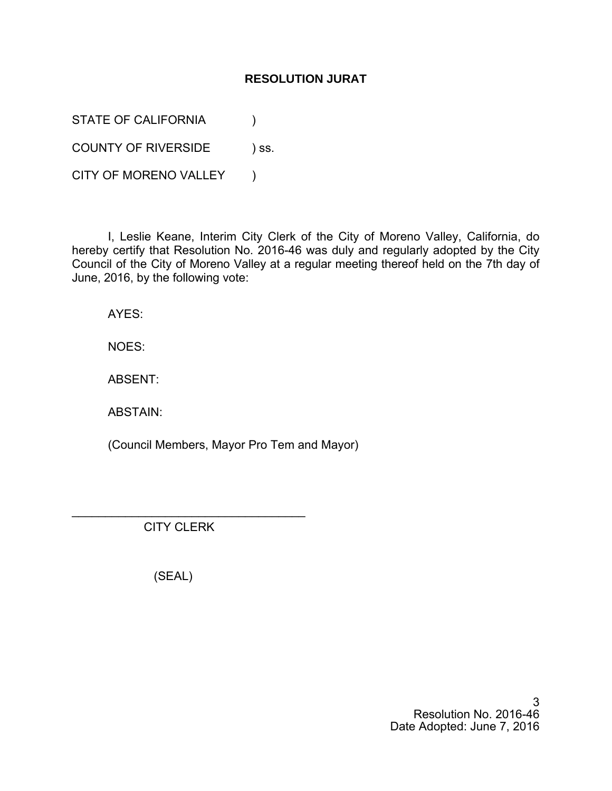# **RESOLUTION JURAT**

STATE OF CALIFORNIA (1)

COUNTY OF RIVERSIDE ) ss.

CITY OF MORENO VALLEY )

I, Leslie Keane, Interim City Clerk of the City of Moreno Valley, California, do hereby certify that Resolution No. 2016-46 was duly and regularly adopted by the City Council of the City of Moreno Valley at a regular meeting thereof held on the 7th day of June, 2016, by the following vote:

AYES:

NOES:

ABSENT:

ABSTAIN:

(Council Members, Mayor Pro Tem and Mayor)

CITY CLERK

\_\_\_\_\_\_\_\_\_\_\_\_\_\_\_\_\_\_\_\_\_\_\_\_\_\_\_\_\_\_\_\_\_\_\_

(SEAL)

3 Resolution No. 2016-46 Date Adopted: June 7, 2016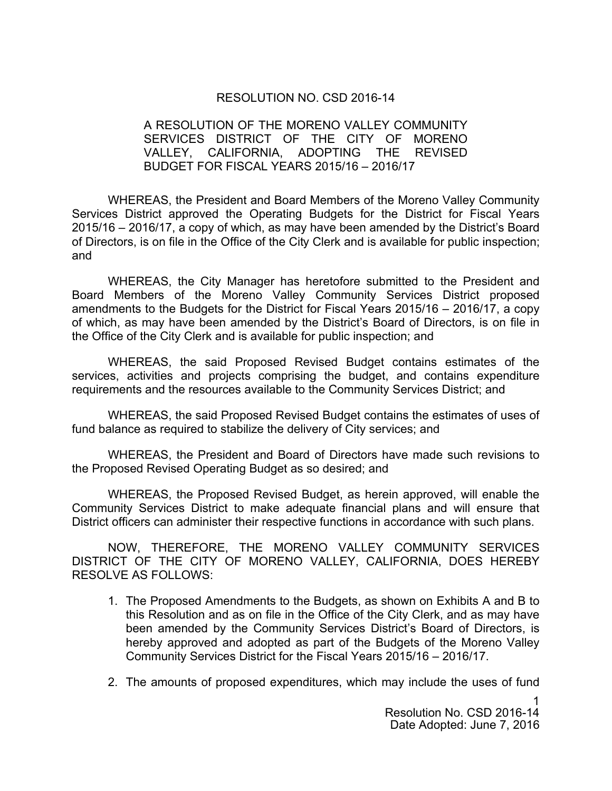#### RESOLUTION NO. CSD 2016-14

#### A RESOLUTION OF THE MORENO VALLEY COMMUNITY SERVICES DISTRICT OF THE CITY OF MORENO VALLEY, CALIFORNIA, ADOPTING THE REVISED BUDGET FOR FISCAL YEARS 2015/16 – 2016/17

WHEREAS, the President and Board Members of the Moreno Valley Community Services District approved the Operating Budgets for the District for Fiscal Years 2015/16 – 2016/17, a copy of which, as may have been amended by the District's Board of Directors, is on file in the Office of the City Clerk and is available for public inspection; and

WHEREAS, the City Manager has heretofore submitted to the President and Board Members of the Moreno Valley Community Services District proposed amendments to the Budgets for the District for Fiscal Years 2015/16 – 2016/17, a copy of which, as may have been amended by the District's Board of Directors, is on file in the Office of the City Clerk and is available for public inspection; and

WHEREAS, the said Proposed Revised Budget contains estimates of the services, activities and projects comprising the budget, and contains expenditure requirements and the resources available to the Community Services District; and

WHEREAS, the said Proposed Revised Budget contains the estimates of uses of fund balance as required to stabilize the delivery of City services; and

WHEREAS, the President and Board of Directors have made such revisions to the Proposed Revised Operating Budget as so desired; and

WHEREAS, the Proposed Revised Budget, as herein approved, will enable the Community Services District to make adequate financial plans and will ensure that District officers can administer their respective functions in accordance with such plans.

NOW, THEREFORE, THE MORENO VALLEY COMMUNITY SERVICES DISTRICT OF THE CITY OF MORENO VALLEY, CALIFORNIA, DOES HEREBY RESOLVE AS FOLLOWS:

- 1. The Proposed Amendments to the Budgets, as shown on Exhibits A and B to this Resolution and as on file in the Office of the City Clerk, and as may have been amended by the Community Services District's Board of Directors, is hereby approved and adopted as part of the Budgets of the Moreno Valley Community Services District for the Fiscal Years 2015/16 – 2016/17.
- 2. The amounts of proposed expenditures, which may include the uses of fund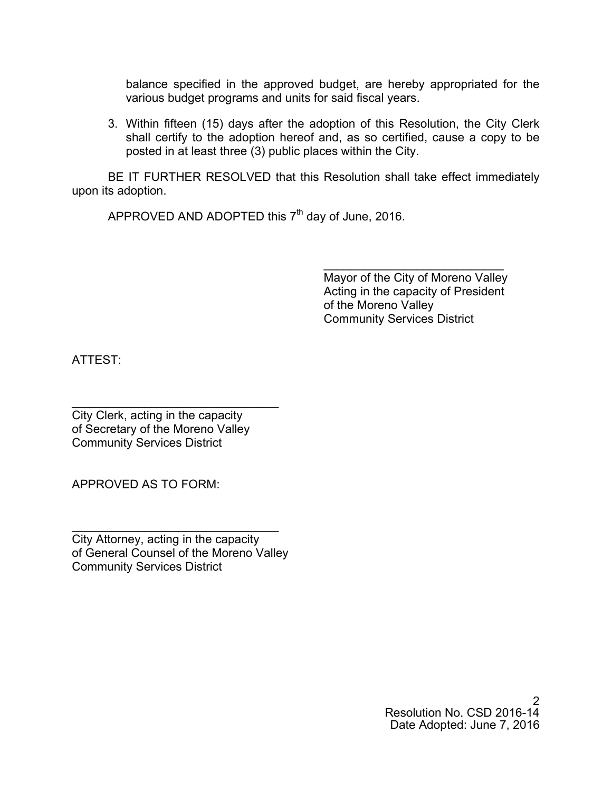balance specified in the approved budget, are hereby appropriated for the various budget programs and units for said fiscal years.

3. Within fifteen (15) days after the adoption of this Resolution, the City Clerk shall certify to the adoption hereof and, as so certified, cause a copy to be posted in at least three (3) public places within the City.

BE IT FURTHER RESOLVED that this Resolution shall take effect immediately upon its adoption.

 $\overline{\phantom{a}}$ 

APPROVED AND ADOPTED this  $7<sup>th</sup>$  day of June, 2016.

 Mayor of the City of Moreno Valley Acting in the capacity of President of the Moreno Valley Community Services District

ATTEST:

\_\_\_\_\_\_\_\_\_\_\_\_\_\_\_\_\_\_\_\_\_\_\_\_\_\_\_\_\_\_\_ City Clerk, acting in the capacity of Secretary of the Moreno Valley Community Services District

APPROVED AS TO FORM:

\_\_\_\_\_\_\_\_\_\_\_\_\_\_\_\_\_\_\_\_\_\_\_\_\_\_\_\_\_\_\_ City Attorney, acting in the capacity of General Counsel of the Moreno Valley Community Services District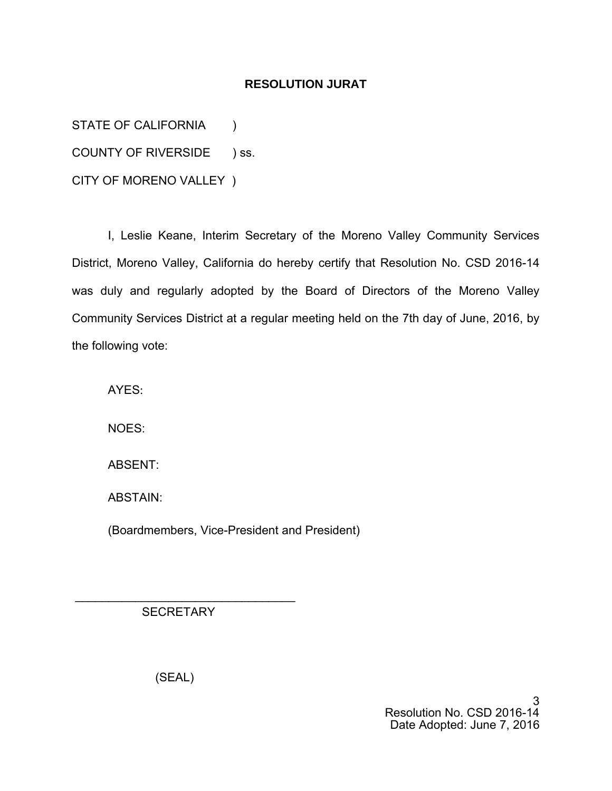# **RESOLUTION JURAT**

STATE OF CALIFORNIA (1) COUNTY OF RIVERSIDE ) ss. CITY OF MORENO VALLEY )

I, Leslie Keane, Interim Secretary of the Moreno Valley Community Services District, Moreno Valley, California do hereby certify that Resolution No. CSD 2016-14 was duly and regularly adopted by the Board of Directors of the Moreno Valley Community Services District at a regular meeting held on the 7th day of June, 2016, by the following vote:

AYES:

NOES:

ABSENT:

ABSTAIN:

(Boardmembers, Vice-President and President)

**SECRETARY** 

\_\_\_\_\_\_\_\_\_\_\_\_\_\_\_\_\_\_\_\_\_\_\_\_\_\_\_\_\_\_\_\_\_

(SEAL)

3 Resolution No. CSD 2016-14 Date Adopted: June 7, 2016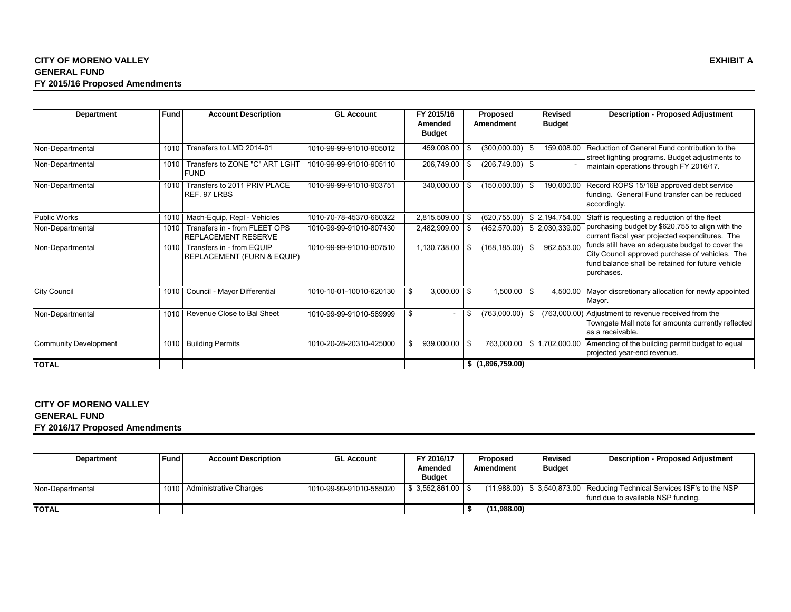#### **CITY OF MORENO VALLEY EXHIBIT A GENERAL FUND FY 2015/16 Proposed Amendments**

| <b>Department</b>            | Fund | <b>Account Description</b>                              | <b>GL Account</b>       | FY 2015/16               | <b>Proposed</b>          | <b>Revised</b>                  | <b>Description - Proposed Adjustment</b>                                                                                                                               |
|------------------------------|------|---------------------------------------------------------|-------------------------|--------------------------|--------------------------|---------------------------------|------------------------------------------------------------------------------------------------------------------------------------------------------------------------|
|                              |      |                                                         |                         | Amended<br><b>Budget</b> | Amendment                | <b>Budget</b>                   |                                                                                                                                                                        |
| Non-Departmental             | 1010 | Transfers to LMD 2014-01                                | 1010-99-99-91010-905012 | 459,008.00               | (300,000.00)<br>\$       | 159,008.00<br>-\$               | Reduction of General Fund contribution to the<br>street lighting programs. Budget adjustments to                                                                       |
| Non-Departmental             | 1010 | Transfers to ZONE "C" ART LGHT<br><b>FUND</b>           | 1010-99-99-91010-905110 | 206,749.00               | $(206, 749.00)$ \$<br>\$ |                                 | maintain operations through FY 2016/17.                                                                                                                                |
| Non-Departmental             | 1010 | Transfers to 2011 PRIV PLACE<br>REF. 97 LRBS            | 1010-99-99-91010-903751 | 340,000.00               | (150,000.00)<br>-\$      | -\$                             | 190,000.00 Record ROPS 15/16B approved debt service<br>funding. General Fund transfer can be reduced<br>accordingly.                                                   |
| <b>Public Works</b>          | 1010 | Mach-Equip, Repl - Vehicles                             | 1010-70-78-45370-660322 | 2,815,509.00             | - \$                     | $(620, 755.00)$ \$ 2,194,754.00 | Staff is requesting a reduction of the fleet                                                                                                                           |
| Non-Departmental             | 1010 | Transfers in - from FLEET OPS<br>REPLACEMENT RESERVE    | 1010-99-99-91010-807430 | 2,482,909.00             | \$                       | $(452, 570.00)$ \$ 2,030,339.00 | purchasing budget by \$620,755 to align with the<br>current fiscal year projected expenditures. The                                                                    |
| Non-Departmental             | 1010 | Transfers in - from EQUIP<br>REPLACEMENT (FURN & EQUIP) | 1010-99-99-91010-807510 | 1,130,738.00             | (168, 185.00)<br>-\$     | 962,553.00<br>\$                | funds still have an adequate budget to cover the<br>City Council approved purchase of vehicles. The<br>fund balance shall be retained for future vehicle<br>purchases. |
| <b>City Council</b>          | 1010 | Council - Mayor Differential                            | 1010-10-01-10010-620130 | 3,000.00<br>\$.          | 1,500.00<br>- \$         | -S                              | 4,500.00 Mayor discretionary allocation for newly appointed<br>Mayor.                                                                                                  |
| Non-Departmental             | 1010 | Revenue Close to Bal Sheet                              | 1010-99-99-91010-589999 | £.                       | (763,000.00)<br>S        | \$                              | (763,000.00) Adjustment to revenue received from the<br>Towngate Mall note for amounts currently reflected<br>as a receivable.                                         |
| <b>Community Development</b> | 1010 | <b>Building Permits</b>                                 | 1010-20-28-20310-425000 | 939,000.00<br>\$         | \$<br>763,000.00         | \$1,702,000.00                  | Amending of the building permit budget to equal<br>projected year-end revenue.                                                                                         |
| <b>TOTAL</b>                 |      |                                                         |                         |                          | \$(1,896,759.00)         |                                 |                                                                                                                                                                        |

#### **CITY OF MORENO VALLEY GENERAL FUND FY 2016/17 Proposed Amendments**

| Department       | <b>Fund</b> | <b>Account Description</b> | <b>GL Account</b>       | FY 2016/17<br>Amended<br><b>Budget</b> | <b>Revised</b><br>Proposed<br><b>Budget</b><br>Amendment |  | <b>Description - Proposed Adjustment</b>                                                                                 |
|------------------|-------------|----------------------------|-------------------------|----------------------------------------|----------------------------------------------------------|--|--------------------------------------------------------------------------------------------------------------------------|
| Non-Departmental | 1010        | Administrative Charges     | 1010-99-99-91010-585020 | $$3.552.861.00$ S                      |                                                          |  | $(11,988.00)$ $\mid$ \$ 3,540,873.00 Reducing Technical Services ISF's to the NSP<br>Ifund due to available NSP funding. |
| <b>ITOTAL</b>    |             |                            |                         |                                        | (11.988.00)                                              |  |                                                                                                                          |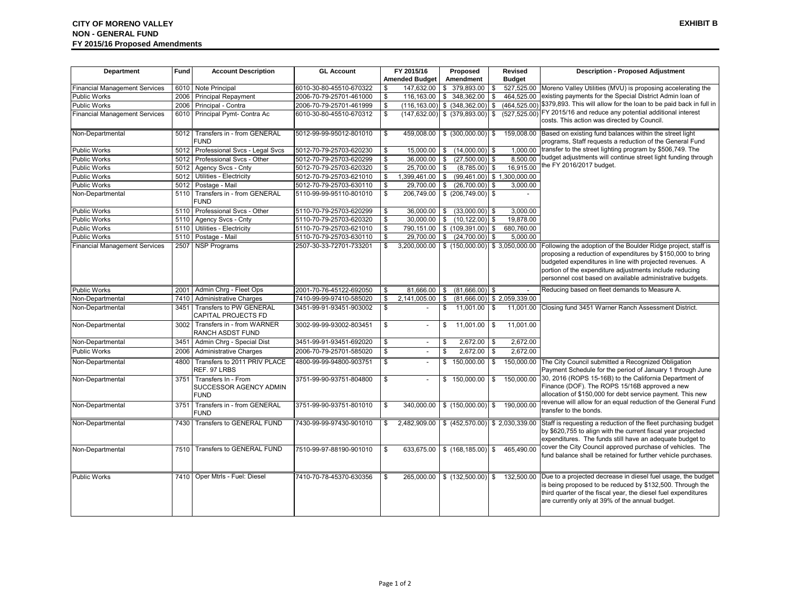| Department                           | Fund | <b>Account Description</b>                                   | <b>GL Account</b>       |    | FY 2015/16                         |            | Proposed                                   |                         | <b>Revised</b>                | <b>Description - Proposed Adjustment</b>                                                                                                                                                                                                                                                                                         |
|--------------------------------------|------|--------------------------------------------------------------|-------------------------|----|------------------------------------|------------|--------------------------------------------|-------------------------|-------------------------------|----------------------------------------------------------------------------------------------------------------------------------------------------------------------------------------------------------------------------------------------------------------------------------------------------------------------------------|
|                                      |      |                                                              |                         |    | <b>Amended Budget</b>              |            | Amendment                                  |                         | <b>Budget</b>                 |                                                                                                                                                                                                                                                                                                                                  |
| <b>Financial Management Services</b> | 6010 | Note Principal                                               | 6010-30-80-45510-670322 | \$ | 147,632.00                         |            | \$379,893.00                               | \$                      |                               | 527,525.00 Moreno Valley Utilities (MVU) is proposing accelerating the                                                                                                                                                                                                                                                           |
| Public Works                         | 2006 | <b>Principal Repayment</b>                                   | 2006-70-79-25701-461000 | \$ | 116,163.00                         |            | \$ 348,362.00                              | Ŝ.                      | 464,525.00                    | existing payments for the Special District Admin loan of                                                                                                                                                                                                                                                                         |
| <b>Public Works</b>                  | 2006 | Principal - Contra                                           | 2006-70-79-25701-461999 | \$ | $(116, 163.00)$ \$ $(348, 362.00)$ |            |                                            | \$                      | (464, 525.00)                 | \$379,893. This will allow for the loan to be paid back in full in                                                                                                                                                                                                                                                               |
| <b>Financial Management Services</b> | 6010 | Principal Pymt- Contra Ac                                    | 6010-30-80-45510-670312 | \$ | $(147, 632.00)$ \$ $(379, 893.00)$ |            |                                            | \$                      | (527, 525.00)                 | FY 2015/16 and reduce any potential additional interest<br>costs. This action was directed by Council.                                                                                                                                                                                                                           |
| Non-Departmental                     | 5012 | Transfers in - from GENERAL<br><b>FUND</b>                   | 5012-99-99-95012-801010 | \$ |                                    |            |                                            |                         |                               | 459,008.00 \\$ (300,000.00) \\$ 159,008.00 Based on existing fund balances within the street light<br>programs, Staff requests a reduction of the General Fund                                                                                                                                                                   |
| Public Works                         | 5012 | Professional Svcs - Legal Svcs                               | 5012-70-79-25703-620230 | \$ |                                    |            | 15,000.00 \$ (14,000.00) \$                |                         |                               | 1,000.00 transfer to the street lighting program by \$506,749. The                                                                                                                                                                                                                                                               |
| Public Works                         | 5012 | Professional Svcs - Other                                    | 5012-70-79-25703-620299 | \$ | 36.000.00                          | \$         | (27,500.00)                                | Ŝ.                      |                               | 8,500.00 budget adjustments will continue street light funding through                                                                                                                                                                                                                                                           |
| <b>Public Works</b>                  | 5012 | Agency Svcs - Cnty                                           | 5012-70-79-25703-620320 | Ŝ. | 25,700.00                          | $\sqrt{3}$ | $(8,785.00)$ \$                            |                         |                               | 16,915.00 the FY 2016/2017 budget.                                                                                                                                                                                                                                                                                               |
| <b>Public Works</b>                  | 5012 | Utilities - Electricity                                      | 5012-70-79-25703-621010 | \$ | 1,399,461.00                       | \$         |                                            |                         | $(99,461.00)$ \$ 1,300,000.00 |                                                                                                                                                                                                                                                                                                                                  |
| <b>Public Works</b>                  | 5012 | Postage - Mail                                               | 5012-70-79-25703-630110 | \$ | 29,700.00                          | \$         | (26,700.00)                                | \$                      | 3,000.00                      |                                                                                                                                                                                                                                                                                                                                  |
| Non-Departmental                     | 5110 | Transfers in - from GENERAL<br><b>FUND</b>                   | 5110-99-99-95110-801010 | \$ | 206,749.00                         |            | \$ (206, 749.00)                           | \$                      |                               |                                                                                                                                                                                                                                                                                                                                  |
| Public Works                         | 5110 | Professional Svcs - Other                                    | 5110-70-79-25703-620299 | \$ |                                    |            | 36,000.00 \$ (33,000.00)                   | \$                      | 3,000.00                      |                                                                                                                                                                                                                                                                                                                                  |
| Public Works                         | 5110 | Agency Svcs - Cnty                                           | 5110-70-79-25703-620320 | \$ |                                    |            | 30,000.00 \$ (10,122.00)                   | \$                      | 19,878.00                     |                                                                                                                                                                                                                                                                                                                                  |
| Public Works                         | 5110 | Utilities - Electricity                                      | 5110-70-79-25703-621010 | \$ |                                    |            | 790,151.00 \$ (109,391.00)                 | \$                      | 680,760.00                    |                                                                                                                                                                                                                                                                                                                                  |
| Public Works                         | 5110 | Postage - Mail                                               | 5110-70-79-25703-630110 | \$ |                                    |            | 29,700.00   \$ (24,700.00)                 | Ŝ.                      | 5,000.00                      |                                                                                                                                                                                                                                                                                                                                  |
| <b>Financial Management Services</b> | 2507 | <b>NSP Programs</b>                                          | 2507-30-33-72701-733201 |    | 3,200,000.00 \$ (150,000.00)       |            |                                            |                         |                               | \$ 3,050,000.00 Following the adoption of the Boulder Ridge project, staff is<br>proposing a reduction of expenditures by \$150,000 to bring<br>budgeted expenditures in line with projected revenues. A<br>portion of the expenditure adjustments include reducing<br>personnel cost based on available administrative budgets. |
| <b>Public Works</b>                  | 2001 | Admin Chrg - Fleet Ops                                       | 2001-70-76-45122-692050 | \$ |                                    |            | $81,666.\overline{00}$ \$ $(81,666.00)$ \$ |                         |                               | Reducing based on fleet demands to Measure A.                                                                                                                                                                                                                                                                                    |
| Non-Departmental                     | 7410 | <b>Administrative Charges</b>                                | 7410-99-99-97410-585020 | \$ | 2,141,005.00                       | \$         | (81,666.00)                                |                         | \$2,059,339.00                |                                                                                                                                                                                                                                                                                                                                  |
| Non-Departmental                     | 3451 | Transfers to PW GENERAL<br>CAPITAL PROJECTS FD               | 3451-99-91-93451-903002 | \$ |                                    | \$         | 11,001.00                                  | \$                      |                               | 11,001.00 Closing fund 3451 Warner Ranch Assessment District.                                                                                                                                                                                                                                                                    |
| Non-Departmental                     | 3002 | Transfers in - from WARNER<br><b>RANCH ASDST FUND</b>        | 3002-99-99-93002-803451 | \$ | $\sim$                             | \$         | 11,001.00                                  | \$                      | 11,001.00                     |                                                                                                                                                                                                                                                                                                                                  |
| Non-Departmental                     | 3451 | Admin Chrg - Special Dist                                    | 3451-99-91-93451-692020 | \$ | $\sim$                             | \$         | $2,672.00$ \$                              |                         | 2,672.00                      |                                                                                                                                                                                                                                                                                                                                  |
| Public Works                         | 2006 | <b>Administrative Charges</b>                                | 2006-70-79-25701-585020 | \$ | $\equiv$                           | \$         | 2,672.00                                   | $\mathbb{S}$            | 2,672.00                      |                                                                                                                                                                                                                                                                                                                                  |
| Non-Departmental                     | 4800 | Transfers to 2011 PRIV PLACE<br>REF. 97 LRBS                 | 4800-99-99-94800-903751 | S, | $\sim$                             |            | \$150,000.00                               | $\overline{\mathbf{s}}$ |                               | 150,000.00 The City Council submitted a Recognized Obligation<br>Payment Schedule for the period of January 1 through June                                                                                                                                                                                                       |
| Non-Departmental                     | 3751 | Transfers In - From<br>SUCCESSOR AGENCY ADMIN<br><b>FUND</b> | 3751-99-90-93751-804800 | \$ | $\overline{a}$                     |            | \$150,000.00                               | \$                      | 150.000.00                    | 30, 2016 (ROPS 15-16B) to the California Department of<br>Finance (DOF). The ROPS 15/16B approved a new<br>allocation of \$150,000 for debt service payment. This new                                                                                                                                                            |
| Non-Departmental                     | 3751 | Transfers in - from GENERAL<br><b>FUND</b>                   | 3751-99-90-93751-801010 | \$ | 340,000.00                         |            | \$(150,000.00)                             |                         | \$ 190,000.00                 | revenue will allow for an equal reduction of the General Fund<br>transfer to the bonds.                                                                                                                                                                                                                                          |
| Non-Departmental                     |      | 7430 Transfers to GENERAL FUND                               | 7430-99-99-97430-901010 | -S |                                    |            |                                            |                         |                               | $2,482,909.00$ $\left($ \$ $(452,570.00)$ $\right)$ \$ 2,030,339.00 Staff is requesting a reduction of the fleet purchasing budget<br>by \$620,755 to align with the current fiscal year projected<br>expenditures. The funds still have an adequate budget to                                                                   |
| Non-Departmental                     | 7510 | Transfers to GENERAL FUND                                    | 7510-99-97-88190-901010 | \$ | 633,675.00                         |            | $$$ (168,185.00)                           | \$                      | 465.490.00                    | cover the City Council approved purchase of vehicles. The<br>fund balance shall be retained for further vehicle purchases.                                                                                                                                                                                                       |
| <b>Public Works</b>                  |      | 7410 Oper Mtrls - Fuel: Diesel                               | 7410-70-78-45370-630356 | \$ | 265,000.00                         |            |                                            |                         |                               | $\frac{1}{2}$ (132,500.00) $\frac{1}{2}$ 132,500.00 Due to a projected decrease in diesel fuel usage, the budget<br>is being proposed to be reduced by \$132,500. Through the<br>third quarter of the fiscal year, the diesel fuel expenditures<br>are currently only at 39% of the annual budget.                               |